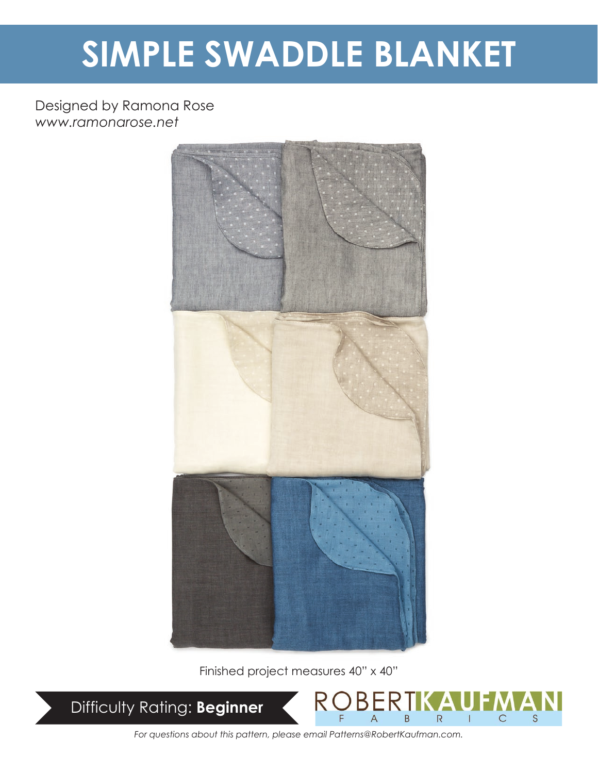# **SIMPLE SWADDLE BLANKET**

# Designed by Ramona Rose *www.ramonarose.net*



Finished project measures 40" x 40"



 $\overline{R}$  $\mathsf{C}$  $\mathcal{S}$  $\overline{B}$ 

*For questions about this pattern, please email Patterns@RobertKaufman.com.*